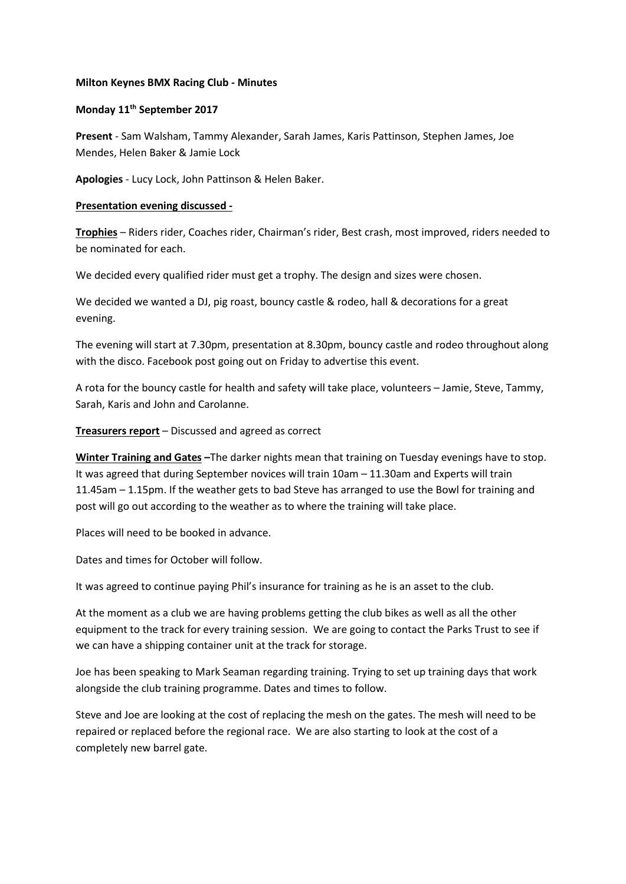## **Milton Keynes BMX Racing Club - Minutes**

## **Monday 11th September 2017**

**Present** - Sam Walsham, Tammy Alexander, Sarah James, Karis Pattinson, Stephen James, Joe Mendes, Helen Baker & Jamie Lock

**Apologies** - Lucy Lock, John Pattinson & Helen Baker.

## **Presentation evening discussed -**

**Trophies** – Riders rider, Coaches rider, Chairman's rider, Best crash, most improved, riders needed to be nominated for each.

We decided every qualified rider must get a trophy. The design and sizes were chosen.

We decided we wanted a DJ, pig roast, bouncy castle & rodeo, hall & decorations for a great evening.

The evening will start at 7.30pm, presentation at 8.30pm, bouncy castle and rodeo throughout along with the disco. Facebook post going out on Friday to advertise this event.

A rota for the bouncy castle for health and safety will take place, volunteers – Jamie, Steve, Tammy, Sarah, Karis and John and Carolanne.

**Treasurers report** – Discussed and agreed as correct

**Winter Training and Gates –**The darker nights mean that training on Tuesday evenings have to stop. It was agreed that during September novices will train 10am – 11.30am and Experts will train 11.45am – 1.15pm. If the weather gets to bad Steve has arranged to use the Bowl for training and post will go out according to the weather as to where the training will take place.

Places will need to be booked in advance.

Dates and times for October will follow.

It was agreed to continue paying Phil's insurance for training as he is an asset to the club.

At the moment as a club we are having problems getting the club bikes as well as all the other equipment to the track for every training session. We are going to contact the Parks Trust to see if we can have a shipping container unit at the track for storage.

Joe has been speaking to Mark Seaman regarding training. Trying to set up training days that work alongside the club training programme. Dates and times to follow.

Steve and Joe are looking at the cost of replacing the mesh on the gates. The mesh will need to be repaired or replaced before the regional race. We are also starting to look at the cost of a completely new barrel gate.